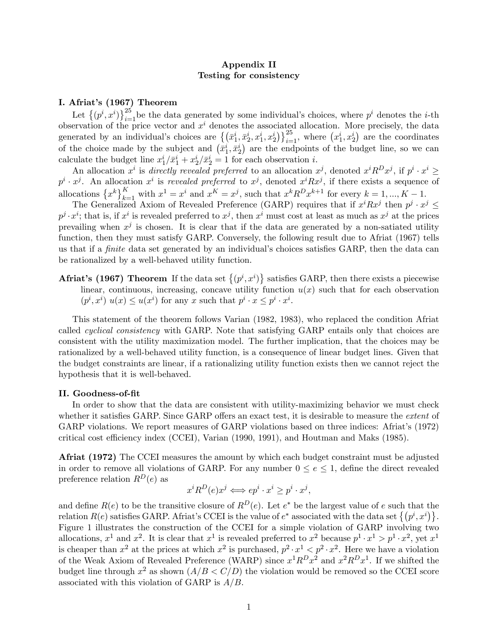### Appendix II Testing for consistency

### I. Afriat's (1967) Theorem

Let  $\{(p^i, x^i)\}_{i=1}^{25}$  be the data generated by some individual's choices, where  $p^i$  denotes the *i*-th observation of the price vector and  $x^i$  denotes the associated allocation. More precisely, the data generated by an individual's choices are  $\{(\bar{x}_1^i, \bar{x}_2^i, x_1^i, x_2^i)\}_{i=1}^{25}$ , where  $(x_1^i, x_2^i)$  are the coordinates of the choice made by the subject and  $(\bar{x}_1^i, \bar{x}_2^i)$  are the endpoints of the budget line, so we can calculate the budget line  $x_1^i / \bar{x}_1^i + x_2^i / \bar{x}_2^i = 1$  for each observation *i*.

An allocation  $x^i$  is directly revealed preferred to an allocation  $x^j$ , denoted  $x^i R^D x^j$ , if  $p^i \cdot x^i \geq$  $p^i \cdot x^j$ . An allocation  $x^i$  is revealed preferred to  $x^j$ , denoted  $x^iRx^j$ , if there exists a sequence of allocations  $\{x^k\}_{k=1}^K$  with  $x^1 = x^i$  and  $x^K = x^j$ , such that  $x^k R^D x^{k+1}$  for every  $k = 1, ..., K - 1$ .

The Generalized Axiom of Revealed Preference (GARP) requires that if  $x^iRx^j$  then  $p^j \cdot x^j \leq$  $p^j \cdot x^i$ ; that is, if  $x^i$  is revealed preferred to  $x^j$ , then  $x^i$  must cost at least as much as  $x^j$  at the prices prevailing when  $x^j$  is chosen. It is clear that if the data are generated by a non-satiated utility function, then they must satisfy GARP. Conversely, the following result due to Afriat (1967) tells us that if a *finite* data set generated by an individual's choices satisfies GARP, then the data can be rationalized by a well-behaved utility function.

**Afriat's (1967) Theorem** If the data set  $\{(p^i, x^i)\}$  satisfies GARP, then there exists a piecewise linear, continuous, increasing, concave utility function  $u(x)$  such that for each observation  $(p^i, x^i)$   $u(x) \le u(x^i)$  for any x such that  $p^i \cdot x \le p^i \cdot x^i$ .

This statement of the theorem follows Varian (1982, 1983), who replaced the condition Afriat called cyclical consistency with GARP. Note that satisfying GARP entails only that choices are consistent with the utility maximization model. The further implication, that the choices may be rationalized by a well-behaved utility function, is a consequence of linear budget lines. Given that the budget constraints are linear, if a rationalizing utility function exists then we cannot reject the hypothesis that it is well-behaved.

#### II. Goodness-of-Öt

In order to show that the data are consistent with utility-maximizing behavior we must check whether it satisfies GARP. Since GARP offers an exact test, it is desirable to measure the *extent* of GARP violations. We report measures of GARP violations based on three indices: Afriatís (1972) critical cost efficiency index (CCEI), Varian (1990, 1991), and Houtman and Maks (1985).

Afriat (1972) The CCEI measures the amount by which each budget constraint must be adjusted in order to remove all violations of GARP. For any number  $0 \le e \le 1$ , define the direct revealed preference relation  $R^D(e)$  as

$$
x^{i}R^{D}(e)x^{j} \Longleftrightarrow ep^{i} \cdot x^{i} \ge p^{i} \cdot x^{j},
$$

and define  $R(e)$  to be the transitive closure of  $R^D(e)$ . Let  $e^*$  be the largest value of e such that the relation  $R(e)$  satisfies GARP. Afriat's CCEI is the value of  $e^*$  associated with the data set  $\{(p^i, x^i)\}.$ Figure 1 illustrates the construction of the CCEI for a simple violation of GARP involving two allocations,  $x^1$  and  $x^2$ . It is clear that  $x^1$  is revealed preferred to  $x^2$  because  $p^1 \cdot x^1 > p^1 \cdot x^2$ , yet  $x^1$ is cheaper than  $x^2$  at the prices at which  $x^2$  is purchased,  $p^2 \cdot x^1 \leq p^2 \cdot x^2$ . Here we have a violation of the Weak Axiom of Revealed Preference (WARP) since  $x^1R^Dx^2$  and  $x^2R^Dx^1$ . If we shifted the budget line through  $x^2$  as shown  $(A/B < C/D)$  the violation would be removed so the CCEI score associated with this violation of GARP is  $A/B$ .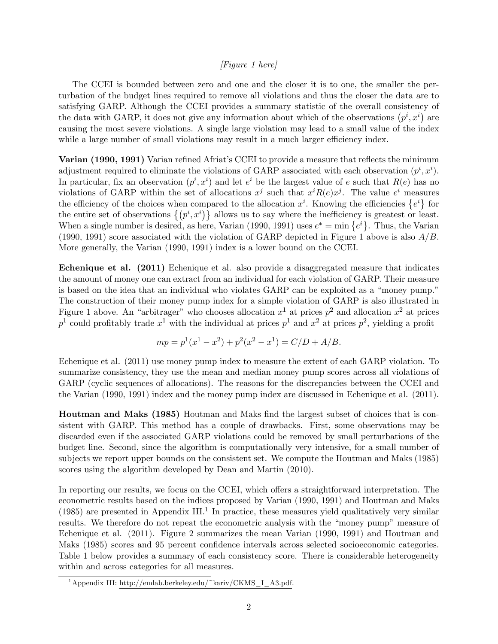#### [Figure 1 here]

The CCEI is bounded between zero and one and the closer it is to one, the smaller the perturbation of the budget lines required to remove all violations and thus the closer the data are to satisfying GARP. Although the CCEI provides a summary statistic of the overall consistency of the data with GARP, it does not give any information about which of the observations  $(p^i, x^i)$  are causing the most severe violations. A single large violation may lead to a small value of the index while a large number of small violations may result in a much larger efficiency index.

Varian (1990, 1991) Varian refined Afriat's CCEI to provide a measure that reflects the minimum adjustment required to eliminate the violations of GARP associated with each observation  $(p^i, x^i)$ . In particular, fix an observation  $(p^i, x^i)$  and let  $e^i$  be the largest value of e such that  $R(e)$  has no violations of GARP within the set of allocations  $x^j$  such that  $x^i R(e) x^j$ . The value  $e^i$  measures the efficiency of the choices when compared to the allocation  $x^i$ . Knowing the efficiencies  $\{e^i\}$  for the entire set of observations  $\{(p^i, x^i)\}\$ allows us to say where the inefficiency is greatest or least. When a single number is desired, as here, Varian (1990, 1991) uses  $e^* = \min\{e^i\}$ . Thus, the Varian (1990, 1991) score associated with the violation of GARP depicted in Figure 1 above is also  $A/B$ . More generally, the Varian (1990, 1991) index is a lower bound on the CCEI.

Echenique et al. (2011) Echenique et al. also provide a disaggregated measure that indicates the amount of money one can extract from an individual for each violation of GARP. Their measure is based on the idea that an individual who violates GARP can be exploited as a "money pump." The construction of their money pump index for a simple violation of GARP is also illustrated in Figure 1 above. An "arbitrager" who chooses allocation  $x^1$  at prices  $p^2$  and allocation  $x^2$  at prices  $p<sup>1</sup>$  could profitably trade  $x<sup>1</sup>$  with the individual at prices  $p<sup>1</sup>$  and  $x<sup>2</sup>$  at prices  $p<sup>2</sup>$ , yielding a profit

$$
mp = p1(x1 – x2) + p2(x2 – x1) = C/D + A/B.
$$

Echenique et al. (2011) use money pump index to measure the extent of each GARP violation. To summarize consistency, they use the mean and median money pump scores across all violations of GARP (cyclic sequences of allocations). The reasons for the discrepancies between the CCEI and the Varian (1990, 1991) index and the money pump index are discussed in Echenique et al. (2011).

Houtman and Maks (1985) Houtman and Maks find the largest subset of choices that is consistent with GARP. This method has a couple of drawbacks. First, some observations may be discarded even if the associated GARP violations could be removed by small perturbations of the budget line. Second, since the algorithm is computationally very intensive, for a small number of subjects we report upper bounds on the consistent set. We compute the Houtman and Maks (1985) scores using the algorithm developed by Dean and Martin (2010).

In reporting our results, we focus on the CCEI, which offers a straightforward interpretation. The econometric results based on the indices proposed by Varian (1990, 1991) and Houtman and Maks (1985) are presented in Appendix III.<sup>1</sup> In practice, these measures yield qualitatively very similar results. We therefore do not repeat the econometric analysis with the "money pump" measure of Echenique et al. (2011). Figure 2 summarizes the mean Varian (1990, 1991) and Houtman and Maks (1985) scores and 95 percent confidence intervals across selected socioeconomic categories. Table 1 below provides a summary of each consistency score. There is considerable heterogeneity within and across categories for all measures.

<sup>&</sup>lt;sup>1</sup>Appendix III: http://emlab.berkeley.edu/~kariv/CKMS\_I\_A3.pdf.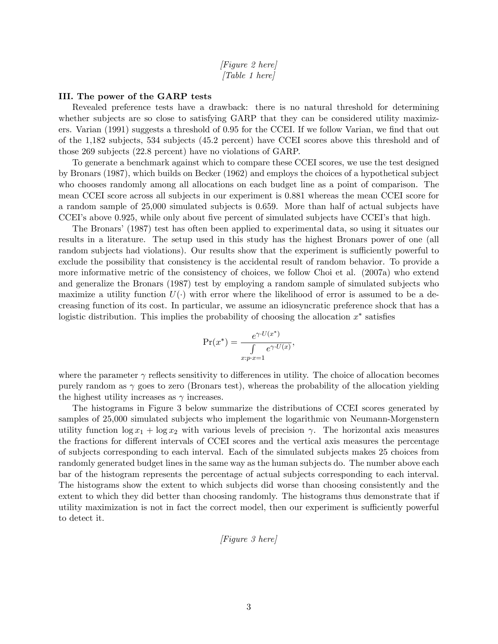#### [Figure 2 here] [Table 1 here]

#### III. The power of the GARP tests

Revealed preference tests have a drawback: there is no natural threshold for determining whether subjects are so close to satisfying GARP that they can be considered utility maximizers. Varian (1991) suggests a threshold of 0.95 for the CCEI. If we follow Varian, we find that out of the 1,182 subjects, 534 subjects (45.2 percent) have CCEI scores above this threshold and of those 269 subjects (22.8 percent) have no violations of GARP.

To generate a benchmark against which to compare these CCEI scores, we use the test designed by Bronars (1987), which builds on Becker (1962) and employs the choices of a hypothetical subject who chooses randomly among all allocations on each budget line as a point of comparison. The mean CCEI score across all subjects in our experiment is 0.881 whereas the mean CCEI score for a random sample of 25,000 simulated subjects is 0.659. More than half of actual subjects have CCEI's above 0.925, while only about five percent of simulated subjects have CCEI's that high.

The Bronarsí(1987) test has often been applied to experimental data, so using it situates our results in a literature. The setup used in this study has the highest Bronars power of one (all random subjects had violations). Our results show that the experiment is sufficiently powerful to exclude the possibility that consistency is the accidental result of random behavior. To provide a more informative metric of the consistency of choices, we follow Choi et al. (2007a) who extend and generalize the Bronars (1987) test by employing a random sample of simulated subjects who maximize a utility function  $U(\cdot)$  with error where the likelihood of error is assumed to be a decreasing function of its cost. In particular, we assume an idiosyncratic preference shock that has a logistic distribution. This implies the probability of choosing the allocation  $x^*$  satisfies

$$
\Pr(x^*) = \frac{e^{\gamma \cdot U(x^*)}}{\int \limits_{x:p \cdot x=1} e^{\gamma \cdot U(x)}},
$$

where the parameter  $\gamma$  reflects sensitivity to differences in utility. The choice of allocation becomes purely random as  $\gamma$  goes to zero (Bronars test), whereas the probability of the allocation yielding the highest utility increases as  $\gamma$  increases.

The histograms in Figure 3 below summarize the distributions of CCEI scores generated by samples of 25,000 simulated subjects who implement the logarithmic von Neumann-Morgenstern utility function  $\log x_1 + \log x_2$  with various levels of precision  $\gamma$ . The horizontal axis measures the fractions for different intervals of CCEI scores and the vertical axis measures the percentage of subjects corresponding to each interval. Each of the simulated subjects makes 25 choices from randomly generated budget lines in the same way as the human subjects do. The number above each bar of the histogram represents the percentage of actual subjects corresponding to each interval. The histograms show the extent to which subjects did worse than choosing consistently and the extent to which they did better than choosing randomly. The histograms thus demonstrate that if utility maximization is not in fact the correct model, then our experiment is sufficiently powerful to detect it.

$$
[Figure\ 3\ here]
$$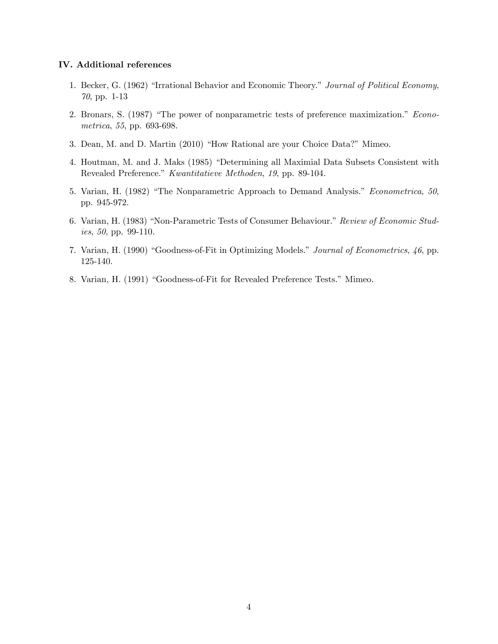#### IV. Additional references

- 1. Becker, G. (1962) "Irrational Behavior and Economic Theory." Journal of Political Economy, 70, pp. 1-13
- 2. Bronars, S. (1987) "The power of nonparametric tests of preference maximization." Econometrica, 55, pp. 693-698.
- 3. Dean, M. and D. Martin (2010) "How Rational are your Choice Data?" Mimeo.
- 4. Houtman, M. and J. Maks (1985) "Determining all Maximial Data Subsets Consistent with Revealed Preference." Kwantitatieve Methoden, 19, pp. 89-104.
- 5. Varian, H. (1982) "The Nonparametric Approach to Demand Analysis." Econometrica, 50, pp. 945-972.
- 6. Varian, H. (1983) "Non-Parametric Tests of Consumer Behaviour." Review of Economic Studies, 50, pp. 99-110.
- 7. Varian, H. (1990) "Goodness-of-Fit in Optimizing Models." Journal of Econometrics, 46, pp. 125-140.
- 8. Varian, H. (1991) "Goodness-of-Fit for Revealed Preference Tests." Mimeo.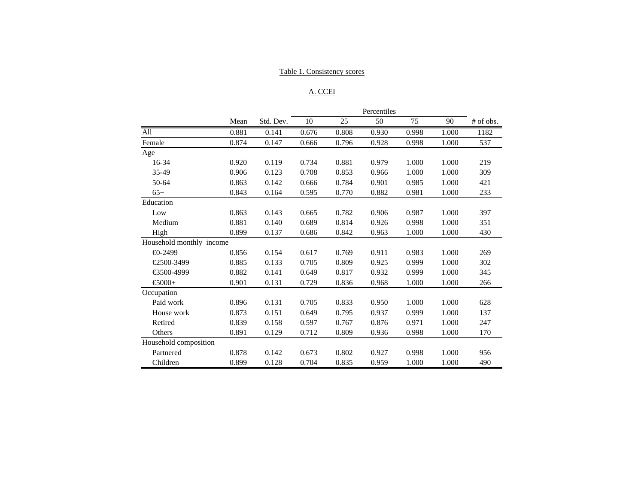### Table 1. Consistency scores

## A. CCEI

|                          | Percentiles |           |       |       |       |       |       |             |
|--------------------------|-------------|-----------|-------|-------|-------|-------|-------|-------------|
|                          | Mean        | Std. Dev. | 10    | 25    | 50    | 75    | 90    | $#$ of obs. |
| All                      | 0.881       | 0.141     | 0.676 | 0.808 | 0.930 | 0.998 | 1.000 | 1182        |
| Female                   | 0.874       | 0.147     | 0.666 | 0.796 | 0.928 | 0.998 | 1.000 | 537         |
| Age                      |             |           |       |       |       |       |       |             |
| 16-34                    | 0.920       | 0.119     | 0.734 | 0.881 | 0.979 | 1.000 | 1.000 | 219         |
| 35-49                    | 0.906       | 0.123     | 0.708 | 0.853 | 0.966 | 1.000 | 1.000 | 309         |
| 50-64                    | 0.863       | 0.142     | 0.666 | 0.784 | 0.901 | 0.985 | 1.000 | 421         |
| $65+$                    | 0.843       | 0.164     | 0.595 | 0.770 | 0.882 | 0.981 | 1.000 | 233         |
| Education                |             |           |       |       |       |       |       |             |
| Low                      | 0.863       | 0.143     | 0.665 | 0.782 | 0.906 | 0.987 | 1.000 | 397         |
| Medium                   | 0.881       | 0.140     | 0.689 | 0.814 | 0.926 | 0.998 | 1.000 | 351         |
| High                     | 0.899       | 0.137     | 0.686 | 0.842 | 0.963 | 1.000 | 1.000 | 430         |
| Household monthly income |             |           |       |       |       |       |       |             |
| $\bigoplus -2499$        | 0.856       | 0.154     | 0.617 | 0.769 | 0.911 | 0.983 | 1.000 | 269         |
| €2500-3499               | 0.885       | 0.133     | 0.705 | 0.809 | 0.925 | 0.999 | 1.000 | 302         |
| €500-4999                | 0.882       | 0.141     | 0.649 | 0.817 | 0.932 | 0.999 | 1.000 | 345         |
| $€000+$                  | 0.901       | 0.131     | 0.729 | 0.836 | 0.968 | 1.000 | 1.000 | 266         |
| Occupation               |             |           |       |       |       |       |       |             |
| Paid work                | 0.896       | 0.131     | 0.705 | 0.833 | 0.950 | 1.000 | 1.000 | 628         |
| House work               | 0.873       | 0.151     | 0.649 | 0.795 | 0.937 | 0.999 | 1.000 | 137         |
| Retired                  | 0.839       | 0.158     | 0.597 | 0.767 | 0.876 | 0.971 | 1.000 | 247         |
| Others                   | 0.891       | 0.129     | 0.712 | 0.809 | 0.936 | 0.998 | 1.000 | 170         |
| Household composition    |             |           |       |       |       |       |       |             |
| Partnered                | 0.878       | 0.142     | 0.673 | 0.802 | 0.927 | 0.998 | 1.000 | 956         |
| Children                 | 0.899       | 0.128     | 0.704 | 0.835 | 0.959 | 1.000 | 1.000 | 490         |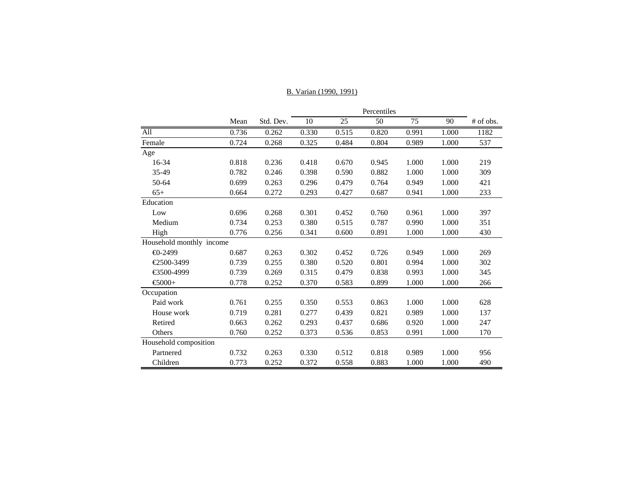|                          | Mean  | Std. Dev. | 10    | 25    | 50    | 75    | 90    | # of obs. |
|--------------------------|-------|-----------|-------|-------|-------|-------|-------|-----------|
| All                      | 0.736 | 0.262     | 0.330 | 0.515 | 0.820 | 0.991 | 1.000 | 1182      |
| Female                   | 0.724 | 0.268     | 0.325 | 0.484 | 0.804 | 0.989 | 1.000 | 537       |
| Age                      |       |           |       |       |       |       |       |           |
| 16-34                    | 0.818 | 0.236     | 0.418 | 0.670 | 0.945 | 1.000 | 1.000 | 219       |
| 35-49                    | 0.782 | 0.246     | 0.398 | 0.590 | 0.882 | 1.000 | 1.000 | 309       |
| 50-64                    | 0.699 | 0.263     | 0.296 | 0.479 | 0.764 | 0.949 | 1.000 | 421       |
| $65+$                    | 0.664 | 0.272     | 0.293 | 0.427 | 0.687 | 0.941 | 1.000 | 233       |
| Education                |       |           |       |       |       |       |       |           |
| Low                      | 0.696 | 0.268     | 0.301 | 0.452 | 0.760 | 0.961 | 1.000 | 397       |
| Medium                   | 0.734 | 0.253     | 0.380 | 0.515 | 0.787 | 0.990 | 1.000 | 351       |
| High                     | 0.776 | 0.256     | 0.341 | 0.600 | 0.891 | 1.000 | 1.000 | 430       |
| Household monthly income |       |           |       |       |       |       |       |           |
| $-2499$                  | 0.687 | 0.263     | 0.302 | 0.452 | 0.726 | 0.949 | 1.000 | 269       |
| €2500-3499               | 0.739 | 0.255     | 0.380 | 0.520 | 0.801 | 0.994 | 1.000 | 302       |
| €3500-4999               | 0.739 | 0.269     | 0.315 | 0.479 | 0.838 | 0.993 | 1.000 | 345       |
| $\epsilon$ 6000+         | 0.778 | 0.252     | 0.370 | 0.583 | 0.899 | 1.000 | 1.000 | 266       |
| Occupation               |       |           |       |       |       |       |       |           |
| Paid work                | 0.761 | 0.255     | 0.350 | 0.553 | 0.863 | 1.000 | 1.000 | 628       |
| House work               | 0.719 | 0.281     | 0.277 | 0.439 | 0.821 | 0.989 | 1.000 | 137       |
| Retired                  | 0.663 | 0.262     | 0.293 | 0.437 | 0.686 | 0.920 | 1.000 | 247       |
| Others                   | 0.760 | 0.252     | 0.373 | 0.536 | 0.853 | 0.991 | 1.000 | 170       |
| Household composition    |       |           |       |       |       |       |       |           |
| Partnered                | 0.732 | 0.263     | 0.330 | 0.512 | 0.818 | 0.989 | 1.000 | 956       |
| Children                 | 0.773 | 0.252     | 0.372 | 0.558 | 0.883 | 1.000 | 1.000 | 490       |

### B. Varian (1990, 1991)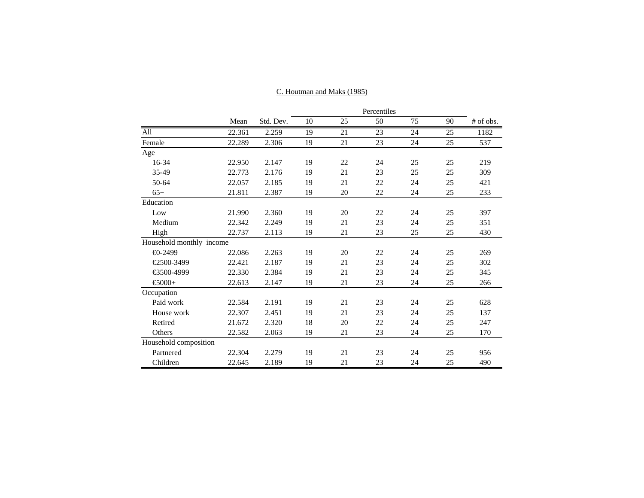|                          | Percentiles |           |    |    |    |    |    |             |
|--------------------------|-------------|-----------|----|----|----|----|----|-------------|
|                          | Mean        | Std. Dev. | 10 | 25 | 50 | 75 | 90 | $#$ of obs. |
| All                      | 22.361      | 2.259     | 19 | 21 | 23 | 24 | 25 | 1182        |
| Female                   | 22.289      | 2.306     | 19 | 21 | 23 | 24 | 25 | 537         |
| Age                      |             |           |    |    |    |    |    |             |
| 16-34                    | 22.950      | 2.147     | 19 | 22 | 24 | 25 | 25 | 219         |
| 35-49                    | 22.773      | 2.176     | 19 | 21 | 23 | 25 | 25 | 309         |
| 50-64                    | 22.057      | 2.185     | 19 | 21 | 22 | 24 | 25 | 421         |
| $65+$                    | 21.811      | 2.387     | 19 | 20 | 22 | 24 | 25 | 233         |
| Education                |             |           |    |    |    |    |    |             |
| Low                      | 21.990      | 2.360     | 19 | 20 | 22 | 24 | 25 | 397         |
| Medium                   | 22.342      | 2.249     | 19 | 21 | 23 | 24 | 25 | 351         |
| High                     | 22.737      | 2.113     | 19 | 21 | 23 | 25 | 25 | 430         |
| Household monthly income |             |           |    |    |    |    |    |             |
| $\bigoplus$ -2499        | 22.086      | 2.263     | 19 | 20 | 22 | 24 | 25 | 269         |
| €2500-3499               | 22.421      | 2.187     | 19 | 21 | 23 | 24 | 25 | 302         |
| €3500-4999               | 22.330      | 2.384     | 19 | 21 | 23 | 24 | 25 | 345         |
| $€000+$                  | 22.613      | 2.147     | 19 | 21 | 23 | 24 | 25 | 266         |
| Occupation               |             |           |    |    |    |    |    |             |
| Paid work                | 22.584      | 2.191     | 19 | 21 | 23 | 24 | 25 | 628         |
| House work               | 22.307      | 2.451     | 19 | 21 | 23 | 24 | 25 | 137         |
| Retired                  | 21.672      | 2.320     | 18 | 20 | 22 | 24 | 25 | 247         |
| Others                   | 22.582      | 2.063     | 19 | 21 | 23 | 24 | 25 | 170         |
| Household composition    |             |           |    |    |    |    |    |             |
| Partnered                | 22.304      | 2.279     | 19 | 21 | 23 | 24 | 25 | 956         |
| Children                 | 22.645      | 2.189     | 19 | 21 | 23 | 24 | 25 | 490         |

## C. Houtman and Maks (1985)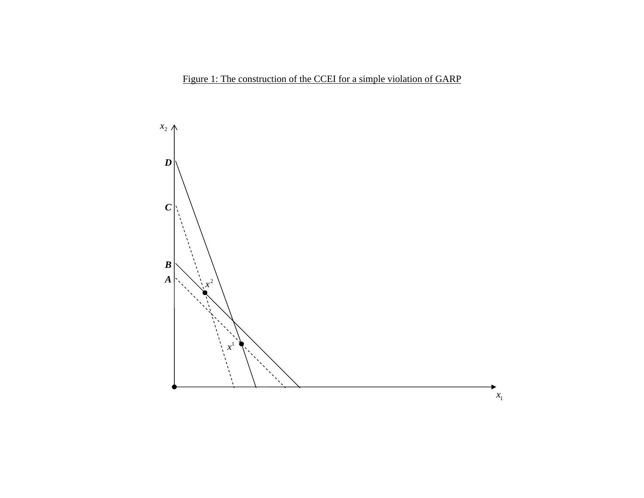Figure 1: The construction of the CCEI for a simple violation of GARP

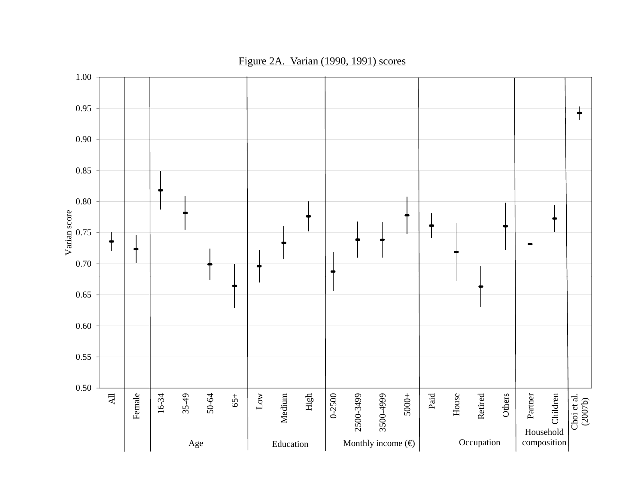

Figure 2A. Varian (1990, 1991) scores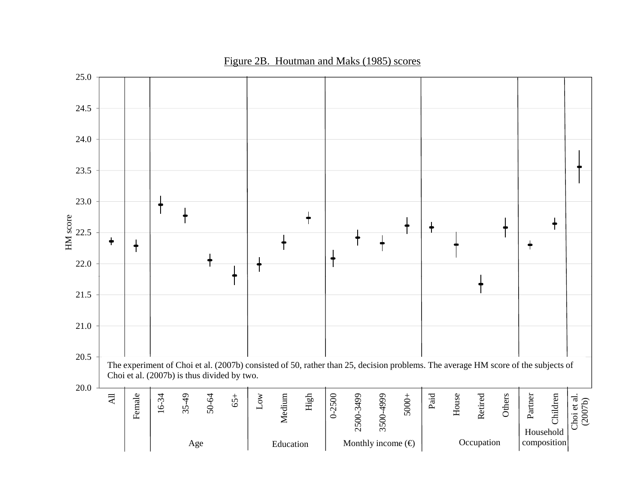

## Figure 2B. Houtman and Maks (1985) scores